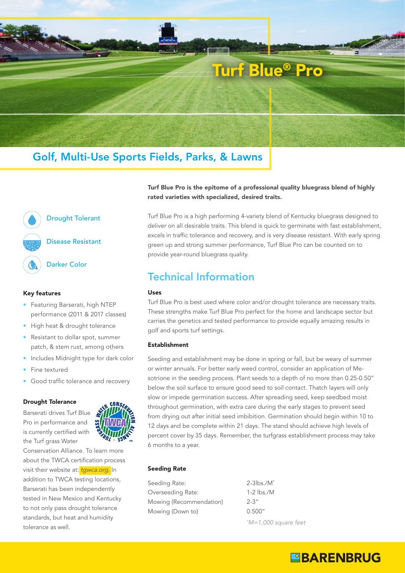

# Golf, Multi-Use Sports Fields, Parks, & Lawns



#### Key features

- Featuring Barserati, high NTEP performance (2011 & 2017 classes)
- High heat & drought tolerance
- Resistant to dollar spot, summer patch, & stem rust, among others
- Includes Midnight type for dark color
- Fine textured
- Good traffic tolerance and recovery

#### Drought Tolerance

Barserati drives Turf Blue Pro in performance and is currently certified with the Turf grass Water

Conservation Alliance. To learn more about the TWCA certification process visit their website at: *[tgwca.org](https://www.tgwca.org/drought.html)*. In addition to TWCA testing locations, Barserati has been independently tested in New Mexico and Kentucky to not only pass drought tolerance standards, but heat and humidity tolerance as well.

Turf Blue Pro is the epitome of a professional quality bluegrass blend of highly rated varieties with specialized, desired traits.

Turf Blue Pro is a high performing 4-variety blend of Kentucky bluegrass designed to deliver on all desirable traits. This blend is quick to germinate with fast establishment, excels in traffic tolerance and recovery, and is very disease resistant. With early spring green up and strong summer performance, Turf Blue Pro can be counted on to provide year-round bluegrass quality.

## Technical Information

#### Uses

Turf Blue Pro is best used where color and/or drought tolerance are necessary traits. These strengths make Turf Blue Pro perfect for the home and landscape sector but carries the genetics and tested performance to provide equally amazing results in golf and sports turf settings.

#### Establishment

Seeding and establishment may be done in spring or fall, but be weary of summer or winter annuals. For better early weed control, consider an application of Mesotrione in the seeding process. Plant seeds to a depth of no more than 0.25-0.50" below the soil surface to ensure good seed to soil contact. Thatch layers will only slow or impede germination success. After spreading seed, keep seedbed moist throughout germination, with extra care during the early stages to prevent seed from drying out after initial seed imbibition. Germination should begin within 10 to 12 days and be complete within 21 days. The stand should achieve high levels of percent cover by 35 days. Remember, the turfgrass establishment process may take 6 months to a year.

#### Seeding Rate

Seeding Rate: Overseeding Rate: Mowing (Recommendation) Mowing (Down to)

2-3lbs./M\* 1-2 lbs./M 2-3" 0.500" *\* M=1,000 square feet*